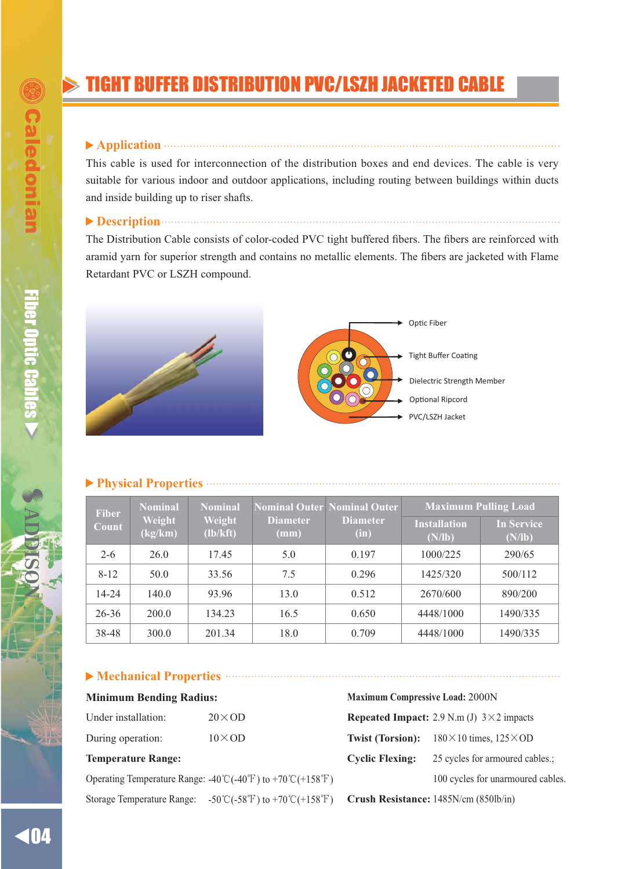# TIGHT BUFFER DISTRIBUTION PVC/LSZH JACKETED CABLE

### **Application**

This cable is used for interconnection of the distribution boxes and end devices. The cable is very suitable for various indoor and outdoor applications, including routing between buildings within ducts and inside building up to riser shafts.

## **Description Construction Construction Construction Construction Construction Construction Construction**

The Distribution Cable consists of color-coded PVC tight buffered fibers. The fibers are reinforced with aramid yarn for superior strength and contains no metallic elements. The fibers are jacketed with Flame Retardant PVC or LSZH compound.





### **Physical Properties**

| <b>Fiber</b><br>Count | <b>Nominal</b><br>Weight<br>(kg/km) | <b>Nominal</b><br>Weight<br>(lb/kft) | <b>Diameter</b><br>(mm) | <b>Nominal Outer Nominal Outer</b><br><b>Diameter</b><br>(in) | <b>Maximum Pulling Load</b>   |                      |
|-----------------------|-------------------------------------|--------------------------------------|-------------------------|---------------------------------------------------------------|-------------------------------|----------------------|
|                       |                                     |                                      |                         |                                                               | <b>Installation</b><br>(N/lb) | In Service<br>(N/lb) |
| $2 - 6$               | 26.0                                | 17.45                                | 5.0                     | 0.197                                                         | 1000/225                      | 290/65               |
| $8 - 12$              | 50.0                                | 33.56                                | 7.5                     | 0.296                                                         | 1425/320                      | 500/112              |
| $14 - 24$             | 140.0                               | 93.96                                | 13.0                    | 0.512                                                         | 2670/600                      | 890/200              |
| $26 - 36$             | 200.0                               | 134.23                               | 16.5                    | 0.650                                                         | 4448/1000                     | 1490/335             |
| 38-48                 | 300.0                               | 201.34                               | 18.0                    | 0.709                                                         | 4448/1000                     | 1490/335             |

### **Mechanical Properties**

| Under installation: | $20 \times OD$ |
|---------------------|----------------|
| During operation:   | $10\times$ OD  |

Operating Temperature Range:  $-40^{\circ}\text{C}(-40^{\circ}\text{F})$  to  $+70^{\circ}\text{C}(+158^{\circ}\text{F})$  100 cycles for unarmoured cables. Storage Temperature Range: -50°C(-58°F) to +70°C(+158°F) **Crush Resistance:** 1485N/cm (850lb/in)

**Minimum Bending Radius: Maximum Compressive Load:** 2000N **Repeated Impact:** 2.9 N.m (J)  $3 \times 2$  impacts **Twist (Torsion):**  $180 \times 10$  times,  $125 \times OD$ **Temperature Range:** Cyclic Flexing: 25 cycles for armoured cables.;